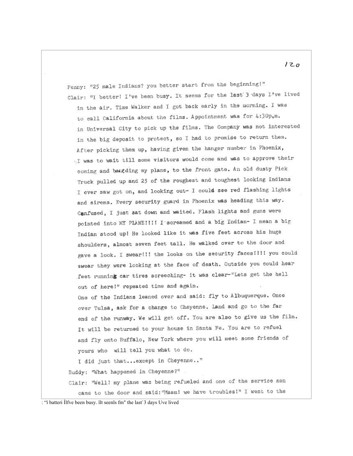Penny: "25 male Indians? you better start from the beginning!" Clair: "I better! I've been busy. It seems for the last 3 days I've lived in the air. Time Walker and I got back early in the morning. I was to call California about the films. Appointment was for 4:30p,m. in Universal City to pick up the films. The Company was not interested in the big deposit to protect, so I had to promise to return them. After picking them up, having given the hanger number in Phoenix, I was to wait till some visitors would come and was to approve their coming and beagding my plane, to the front gate. An old dusty Pick Truck pulled up and 25 of the roughest and toughest looking Indians I ever saw got on, and looking out- I could see red flashing lights and sirens. Every security guard in Phoenix was heading this way. Confused, I just sat down and waited. Flash lights and guns were pointed into MY PIANE!!!! I screamed and a big Indian- I mean a big Indian stood up! He looked like it was five feet across his huge shoulders, almost seven feet tall. He walked over to the door and gave a look. I swear! I! the looks on the security faces! II! you could swear they were looking at the face of death. Outside you could hear feet running car tires screeching- it was clear-"Lets get the hell out of here!" repeated time and again. One of the Indians leaned over and said: fly to Albuquerque. Once over Tulsa, ask for a change to Cheyenne. Land and go to the far end of the runway. We will get off. You are also to give us the film. It will be returned to your house in Santa Fe. You are to refuel and fly onto Buffalo, New York where you will meet some friends of yours who will tell you what to do. I did just that... except in Cheyenne.." Buddy: "What happened in Cheyenne?" Clair: "Well! my plane was being refueled and one of the service men

came to the door and said: "Maam! we have troubles!" I went to the

: "i batteri Ilfve been busy. îlt seenls fm" the last'3 days Uve lived

 $120$